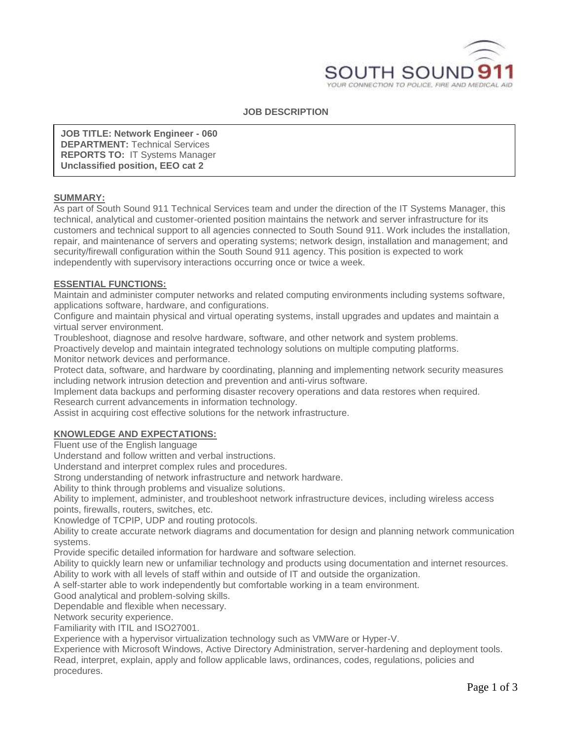

## **JOB DESCRIPTION**

**JOB TITLE: Network Engineer - 060 DEPARTMENT:** Technical Services **REPORTS TO:** IT Systems Manager **Unclassified position, EEO cat 2**

#### **SUMMARY:**

As part of South Sound 911 Technical Services team and under the direction of the IT Systems Manager, this technical, analytical and customer-oriented position maintains the network and server infrastructure for its customers and technical support to all agencies connected to South Sound 911. Work includes the installation, repair, and maintenance of servers and operating systems; network design, installation and management; and security/firewall configuration within the South Sound 911 agency. This position is expected to work independently with supervisory interactions occurring once or twice a week.

#### **ESSENTIAL FUNCTIONS:**

Maintain and administer computer networks and related computing environments including systems software, applications software, hardware, and configurations.

Configure and maintain physical and virtual operating systems, install upgrades and updates and maintain a virtual server environment.

Troubleshoot, diagnose and resolve hardware, software, and other network and system problems.

Proactively develop and maintain integrated technology solutions on multiple computing platforms. Monitor network devices and performance.

Protect data, software, and hardware by coordinating, planning and implementing network security measures including network intrusion detection and prevention and anti-virus software.

Implement data backups and performing disaster recovery operations and data restores when required. Research current advancements in information technology.

Assist in acquiring cost effective solutions for the network infrastructure.

# **KNOWLEDGE AND EXPECTATIONS:**

Fluent use of the English language

Understand and follow written and verbal instructions.

Understand and interpret complex rules and procedures.

Strong understanding of network infrastructure and network hardware.

Ability to think through problems and visualize solutions.

Ability to implement, administer, and troubleshoot network infrastructure devices, including wireless access points, firewalls, routers, switches, etc.

Knowledge of TCPIP, UDP and routing protocols.

Ability to create accurate network diagrams and documentation for design and planning network communication systems.

Provide specific detailed information for hardware and software selection.

Ability to quickly learn new or unfamiliar technology and products using documentation and internet resources. Ability to work with all levels of staff within and outside of IT and outside the organization.

A self-starter able to work independently but comfortable working in a team environment.

Good analytical and problem-solving skills.

Dependable and flexible when necessary.

Network security experience.

Familiarity with ITIL and ISO27001.

Experience with a hypervisor virtualization technology such as VMWare or Hyper-V.

Experience with Microsoft Windows, Active Directory Administration, server-hardening and deployment tools. Read, interpret, explain, apply and follow applicable laws, ordinances, codes, regulations, policies and procedures.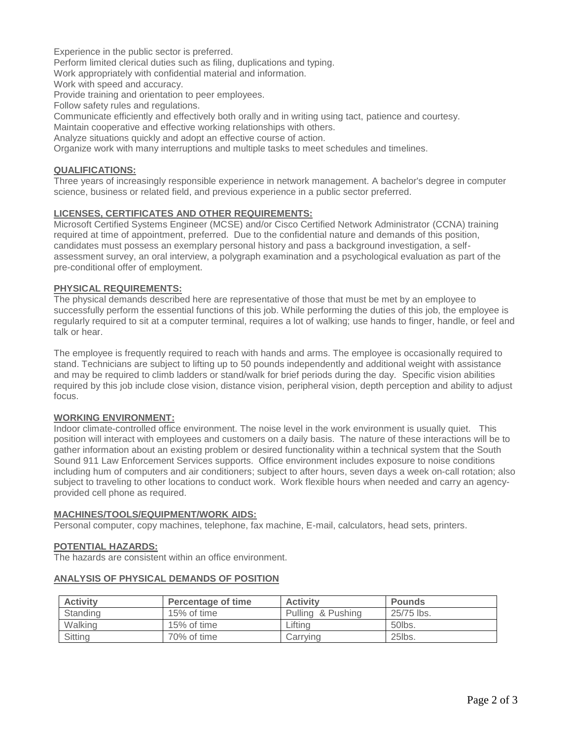Experience in the public sector is preferred.

Perform limited clerical duties such as filing, duplications and typing.

Work appropriately with confidential material and information.

Work with speed and accuracy.

Provide training and orientation to peer employees.

Follow safety rules and regulations.

Communicate efficiently and effectively both orally and in writing using tact, patience and courtesy.

Maintain cooperative and effective working relationships with others.

Analyze situations quickly and adopt an effective course of action.

Organize work with many interruptions and multiple tasks to meet schedules and timelines.

## **QUALIFICATIONS:**

Three years of increasingly responsible experience in network management. A bachelor's degree in computer science, business or related field, and previous experience in a public sector preferred.

## **LICENSES, CERTIFICATES AND OTHER REQUIREMENTS:**

Microsoft Certified Systems Engineer (MCSE) and/or Cisco Certified Network Administrator (CCNA) training required at time of appointment, preferred. Due to the confidential nature and demands of this position, candidates must possess an exemplary personal history and pass a background investigation, a selfassessment survey, an oral interview, a polygraph examination and a psychological evaluation as part of the pre-conditional offer of employment.

#### **PHYSICAL REQUIREMENTS:**

The physical demands described here are representative of those that must be met by an employee to successfully perform the essential functions of this job. While performing the duties of this job, the employee is regularly required to sit at a computer terminal, requires a lot of walking; use hands to finger, handle, or feel and talk or hear.

The employee is frequently required to reach with hands and arms. The employee is occasionally required to stand. Technicians are subject to lifting up to 50 pounds independently and additional weight with assistance and may be required to climb ladders or stand/walk for brief periods during the day. Specific vision abilities required by this job include close vision, distance vision, peripheral vision, depth perception and ability to adjust focus.

#### **WORKING ENVIRONMENT:**

Indoor climate-controlled office environment. The noise level in the work environment is usually quiet. This position will interact with employees and customers on a daily basis. The nature of these interactions will be to gather information about an existing problem or desired functionality within a technical system that the South Sound 911 Law Enforcement Services supports.Office environment includes exposure to noise conditions including hum of computers and air conditioners; subject to after hours, seven days a week on-call rotation; also subject to traveling to other locations to conduct work. Work flexible hours when needed and carry an agencyprovided cell phone as required.

#### **MACHINES/TOOLS/EQUIPMENT/WORK AIDS:**

Personal computer, copy machines, telephone, fax machine, E-mail, calculators, head sets, printers.

# **POTENTIAL HAZARDS:**

The hazards are consistent within an office environment.

|  |  |  |  |  | <b>ANALYSIS OF PHYSICAL DEMANDS OF POSITION</b> |
|--|--|--|--|--|-------------------------------------------------|
|--|--|--|--|--|-------------------------------------------------|

| <b>Activity</b> | Percentage of time | <b>Activity</b>   | <b>Pounds</b> |
|-----------------|--------------------|-------------------|---------------|
| Standing        | 15% of time        | Pulling & Pushing | 25/75 lbs.    |
| Walking         | 15% of time        | Liftina           | 50lbs.        |
| Sitting         | 70% of time        | Carrying          | 25lbs.        |